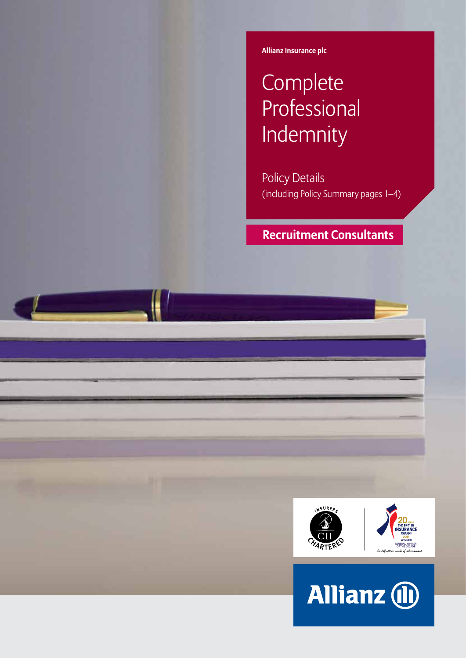**Allianz Insurance plc**

# **Complete** Professional Indemnity

Policy Details (including Policy Summary pages 1–4)

## **Recruitment Consultants**



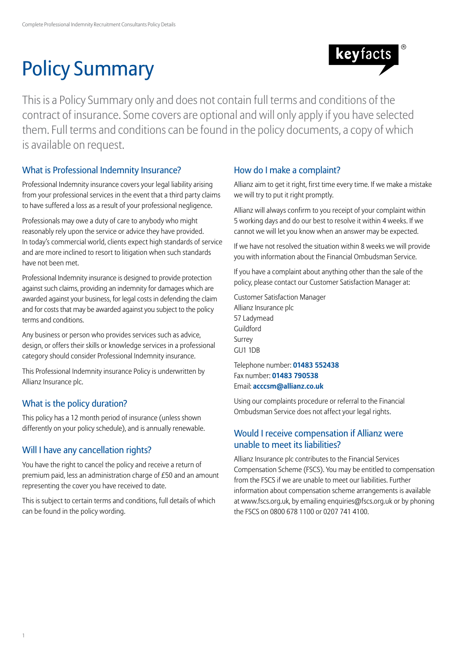# Policy Summary



This is a Policy Summary only and does not contain full terms and conditions of the contract of insurance. Some covers are optional and will only apply if you have selected them. Full terms and conditions can be found in the policy documents, a copy of which is available on request.

## What is Professional Indemnity Insurance?

Professional Indemnity insurance covers your legal liability arising from your professional services in the event that a third party claims to have suffered a loss as a result of your professional negligence.

Professionals may owe a duty of care to anybody who might reasonably rely upon the service or advice they have provided. In today's commercial world, clients expect high standards of service and are more inclined to resort to litigation when such standards have not been met.

Professional Indemnity insurance is designed to provide protection against such claims, providing an indemnity for damages which are awarded against your business, for legal costs in defending the claim and for costs that may be awarded against you subject to the policy terms and conditions.

Any business or person who provides services such as advice, design, or offers their skills or knowledge services in a professional category should consider Professional Indemnity insurance.

This Professional Indemnity insurance Policy is underwritten by Allianz Insurance plc.

## What is the policy duration?

This policy has a 12 month period of insurance (unless shown differently on your policy schedule), and is annually renewable.

## Will I have any cancellation rights?

You have the right to cancel the policy and receive a return of premium paid, less an administration charge of £50 and an amount representing the cover you have received to date.

This is subject to certain terms and conditions, full details of which can be found in the policy wording.

## How do I make a complaint?

Allianz aim to get it right, first time every time. If we make a mistake we will try to put it right promptly.

Allianz will always confirm to you receipt of your complaint within 5 working days and do our best to resolve it within 4 weeks. If we cannot we will let you know when an answer may be expected.

If we have not resolved the situation within 8 weeks we will provide you with information about the Financial Ombudsman Service.

If you have a complaint about anything other than the sale of the policy, please contact our Customer Satisfaction Manager at:

Customer Satisfaction Manager Allianz Insurance plc 57 Ladymead Guildford Surrey GU1 1DB

Telephone number: **01483 552438** Fax number: **01483 790538** Email: **acccsm@allianz.co.uk**

Using our complaints procedure or referral to the Financial Ombudsman Service does not affect your legal rights.

## Would I receive compensation if Allianz were unable to meet its liabilities?

Allianz Insurance plc contributes to the Financial Services Compensation Scheme (FSCS). You may be entitled to compensation from the FSCS if we are unable to meet our liabilities. Further information about compensation scheme arrangements is available at www.fscs.org.uk, by emailing enquiries@fscs.org.uk or by phoning the FSCS on 0800 678 1100 or 0207 741 4100.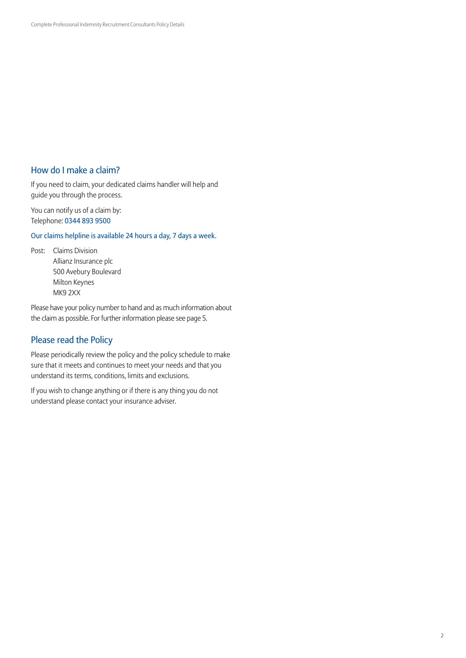## How do I make a claim?

If you need to claim, your dedicated claims handler will help and guide you through the process.

You can notify us of a claim by: Telephone: 0344 893 9500

Our claims helpline is available 24 hours a day, 7 days a week.

Post: Claims Division Allianz Insurance plc 500 Avebury Boulevard Milton Keynes MK9 2XX

Please have your policy number to hand and as much information about the claim as possible. For further information please see page 5.

## Please read the Policy

Please periodically review the policy and the policy schedule to make sure that it meets and continues to meet your needs and that you understand its terms, conditions, limits and exclusions.

If you wish to change anything or if there is any thing you do not understand please contact your insurance adviser.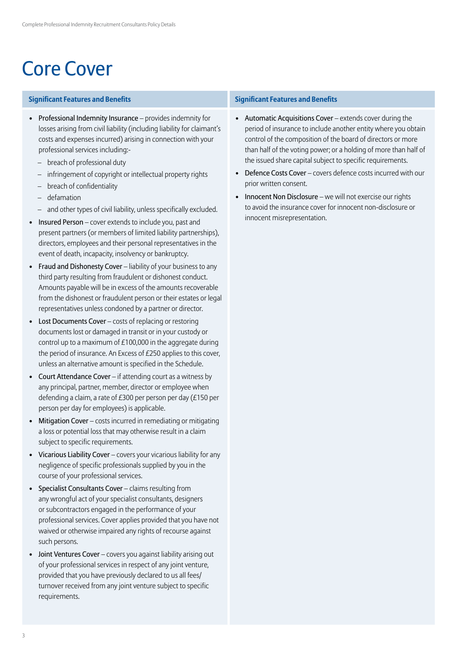## Core Cover

### **Significant Features and Benefits Significant Features and Benefits**

- Professional Indemnity Insurance provides indemnity for losses arising from civil liability (including liability for claimant's costs and expenses incurred) arising in connection with your professional services including:-
	- breach of professional duty
	- infringement of copyright or intellectual property rights
	- breach of confidentiality
	- defamation
	- and other types of civil liability, unless specifically excluded.
- Insured Person cover extends to include you, past and present partners (or members of limited liability partnerships), directors, employees and their personal representatives in the event of death, incapacity, insolvency or bankruptcy.
- Fraud and Dishonesty Cover liability of your business to any third party resulting from fraudulent or dishonest conduct. Amounts payable will be in excess of the amounts recoverable from the dishonest or fraudulent person or their estates or legal representatives unless condoned by a partner or director.
- Lost Documents Cover costs of replacing or restoring documents lost or damaged in transit or in your custody or control up to a maximum of £100,000 in the aggregate during the period of insurance. An Excess of £250 applies to this cover, unless an alternative amount is specified in the Schedule.
- Court Attendance Cover if attending court as a witness by any principal, partner, member, director or employee when defending a claim, a rate of £300 per person per day (£150 per person per day for employees) is applicable.
- Mitigation Cover costs incurred in remediating or mitigating a loss or potential loss that may otherwise result in a claim subject to specific requirements.
- Vicarious Liability Cover covers your vicarious liability for any negligence of specific professionals supplied by you in the course of your professional services.
- Specialist Consultants Cover claims resulting from any wrongful act of your specialist consultants, designers or subcontractors engaged in the performance of your professional services. Cover applies provided that you have not waived or otherwise impaired any rights of recourse against such persons.
- Joint Ventures Cover covers you against liability arising out of your professional services in respect of any joint venture, provided that you have previously declared to us all fees/ turnover received from any joint venture subject to specific requirements.

- Automatic Acquisitions Cover extends cover during the period of insurance to include another entity where you obtain control of the composition of the board of directors or more than half of the voting power; or a holding of more than half of the issued share capital subject to specific requirements.
- Defence Costs Cover covers defence costs incurred with our prior written consent.
- Innocent Non Disclosure we will not exercise our rights to avoid the insurance cover for innocent non-disclosure or innocent misrepresentation.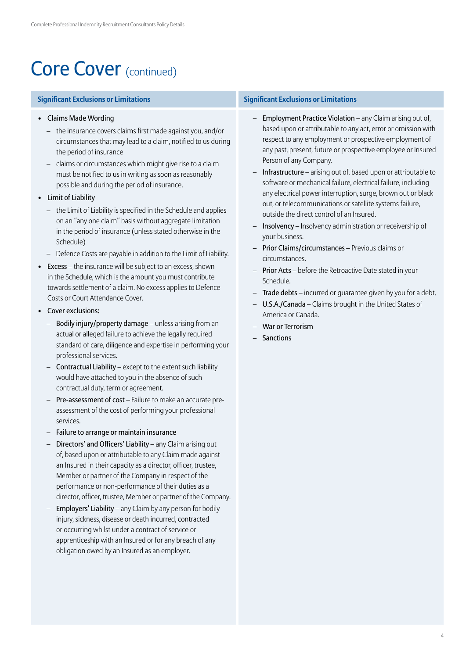## Core Cover (continued)

- Claims Made Wording
	- the insurance covers claims first made against you, and/or circumstances that may lead to a claim, notified to us during the period of insurance
	- claims or circumstances which might give rise to a claim must be notified to us in writing as soon as reasonably possible and during the period of insurance.
- Limit of Liability
	- the Limit of Liability is specified in the Schedule and applies on an "any one claim" basis without aggregate limitation in the period of insurance (unless stated otherwise in the Schedule)
	- Defence Costs are payable in addition to the Limit of Liability.
- Excess the insurance will be subject to an excess, shown in the Schedule, which is the amount you must contribute towards settlement of a claim. No excess applies to Defence Costs or Court Attendance Cover.
- Cover exclusions:
	- Bodily injury/property damage unless arising from an actual or alleged failure to achieve the legally required standard of care, diligence and expertise in performing your professional services.
	- Contractual Liability except to the extent such liability would have attached to you in the absence of such contractual duty, term or agreement.
	- Pre-assessment of cost Failure to make an accurate preassessment of the cost of performing your professional services.
	- Failure to arrange or maintain insurance
	- Directors' and Officers' Liability any Claim arising out of, based upon or attributable to any Claim made against an Insured in their capacity as a director, officer, trustee, Member or partner of the Company in respect of the performance or non-performance of their duties as a director, officer, trustee, Member or partner of the Company.
	- Employers' Liability any Claim by any person for bodily injury, sickness, disease or death incurred, contracted or occurring whilst under a contract of service or apprenticeship with an Insured or for any breach of any obligation owed by an Insured as an employer.

### **Significant Exclusions or Limitations Significant Exclusions or Limitations**

- Employment Practice Violation any Claim arising out of, based upon or attributable to any act, error or omission with respect to any employment or prospective employment of any past, present, future or prospective employee or Insured Person of any Company.
- Infrastructure arising out of, based upon or attributable to software or mechanical failure, electrical failure, including any electrical power interruption, surge, brown out or black out, or telecommunications or satellite systems failure, outside the direct control of an Insured.
- Insolvency Insolvency administration or receivership of your business.
- Prior Claims/circumstances Previous claims or circumstances.
- Prior Acts before the Retroactive Date stated in your Schedule.
- Trade debts incurred or guarantee given by you for a debt.
- U.S.A./Canada Claims brought in the United States of America or Canada.
- War or Terrorism
- Sanctions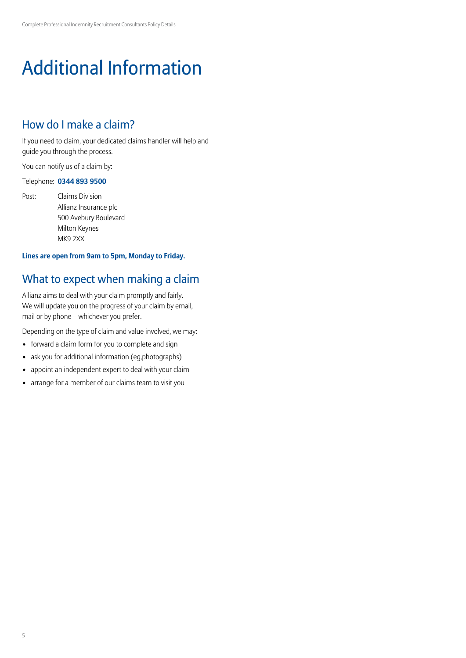# Additional Information

## How do I make a claim?

If you need to claim, your dedicated claims handler will help and guide you through the process.

You can notify us of a claim by:

### Telephone: **0344 893 9500**

Post: Claims Division Allianz Insurance plc 500 Avebury Boulevard Milton Keynes MK9 2XX

## **Lines are open from 9am to 5pm, Monday to Friday.**

## What to expect when making a claim

Allianz aims to deal with your claim promptly and fairly. We will update you on the progress of your claim by email, mail or by phone – whichever you prefer.

Depending on the type of claim and value involved, we may:

- forward a claim form for you to complete and sign
- ask you for additional information (eg,photographs)
- appoint an independent expert to deal with your claim
- arrange for a member of our claims team to visit you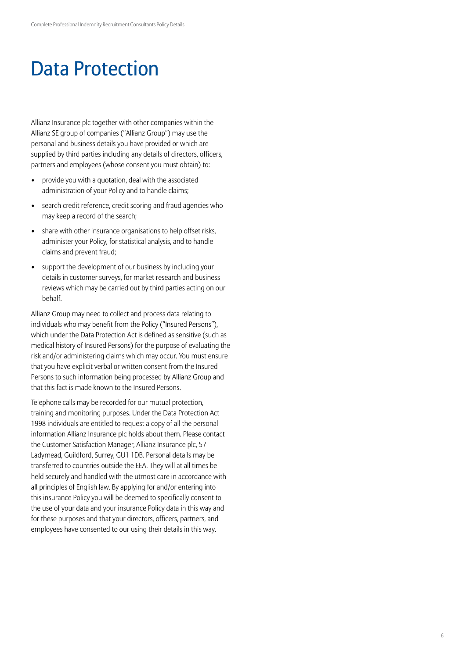## Data Protection

Allianz Insurance plc together with other companies within the Allianz SE group of companies ("Allianz Group") may use the personal and business details you have provided or which are supplied by third parties including any details of directors, officers, partners and employees (whose consent you must obtain) to:

- provide you with a quotation, deal with the associated administration of your Policy and to handle claims;
- search credit reference, credit scoring and fraud agencies who may keep a record of the search;
- share with other insurance organisations to help offset risks, administer your Policy, for statistical analysis, and to handle claims and prevent fraud;
- support the development of our business by including your details in customer surveys, for market research and business reviews which may be carried out by third parties acting on our behalf.

Allianz Group may need to collect and process data relating to individuals who may benefit from the Policy ("Insured Persons"), which under the Data Protection Act is defined as sensitive (such as medical history of Insured Persons) for the purpose of evaluating the risk and/or administering claims which may occur. You must ensure that you have explicit verbal or written consent from the Insured Persons to such information being processed by Allianz Group and that this fact is made known to the Insured Persons.

Telephone calls may be recorded for our mutual protection, training and monitoring purposes. Under the Data Protection Act 1998 individuals are entitled to request a copy of all the personal information Allianz Insurance plc holds about them. Please contact the Customer Satisfaction Manager, Allianz Insurance plc, 57 Ladymead, Guildford, Surrey, GU1 1DB. Personal details may be transferred to countries outside the EEA. They will at all times be held securely and handled with the utmost care in accordance with all principles of English law. By applying for and/or entering into this insurance Policy you will be deemed to specifically consent to the use of your data and your insurance Policy data in this way and for these purposes and that your directors, officers, partners, and employees have consented to our using their details in this way.